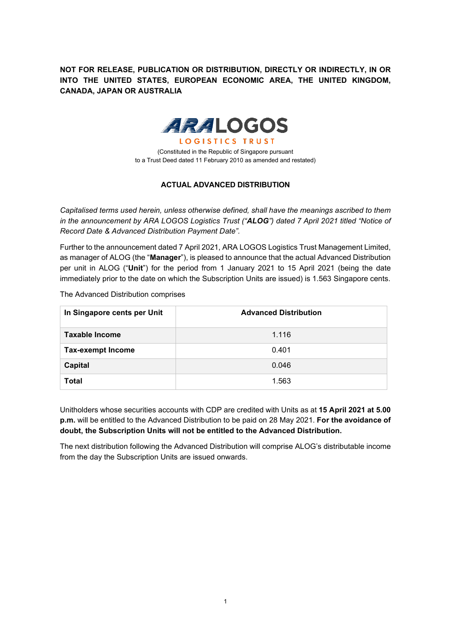**NOT FOR RELEASE, PUBLICATION OR DISTRIBUTION, DIRECTLY OR INDIRECTLY, IN OR INTO THE UNITED STATES, EUROPEAN ECONOMIC AREA, THE UNITED KINGDOM, CANADA, JAPAN OR AUSTRALIA**



(Constituted in the Republic of Singapore pursuant to a Trust Deed dated 11 February 2010 as amended and restated)

## **ACTUAL ADVANCED DISTRIBUTION**

*Capitalised terms used herein, unless otherwise defined, shall have the meanings ascribed to them in the announcement by ARA LOGOS Logistics Trust ("ALOG") dated 7 April 2021 titled "Notice of Record Date & Advanced Distribution Payment Date".*

Further to the announcement dated 7 April 2021, ARA LOGOS Logistics Trust Management Limited, as manager of ALOG (the "**Manager**"), is pleased to announce that the actual Advanced Distribution per unit in ALOG ("**Unit**") for the period from 1 January 2021 to 15 April 2021 (being the date immediately prior to the date on which the Subscription Units are issued) is 1.563 Singapore cents.

The Advanced Distribution comprises

| In Singapore cents per Unit | <b>Advanced Distribution</b> |
|-----------------------------|------------------------------|
| Taxable Income              | 1.116                        |
| <b>Tax-exempt Income</b>    | 0.401                        |
| <b>Capital</b>              | 0.046                        |
| <b>Total</b>                | 1.563                        |

Unitholders whose securities accounts with CDP are credited with Units as at **15 April 2021 at 5.00 p.m.** will be entitled to the Advanced Distribution to be paid on 28 May 2021. **For the avoidance of doubt, the Subscription Units will not be entitled to the Advanced Distribution.**

The next distribution following the Advanced Distribution will comprise ALOG's distributable income from the day the Subscription Units are issued onwards.